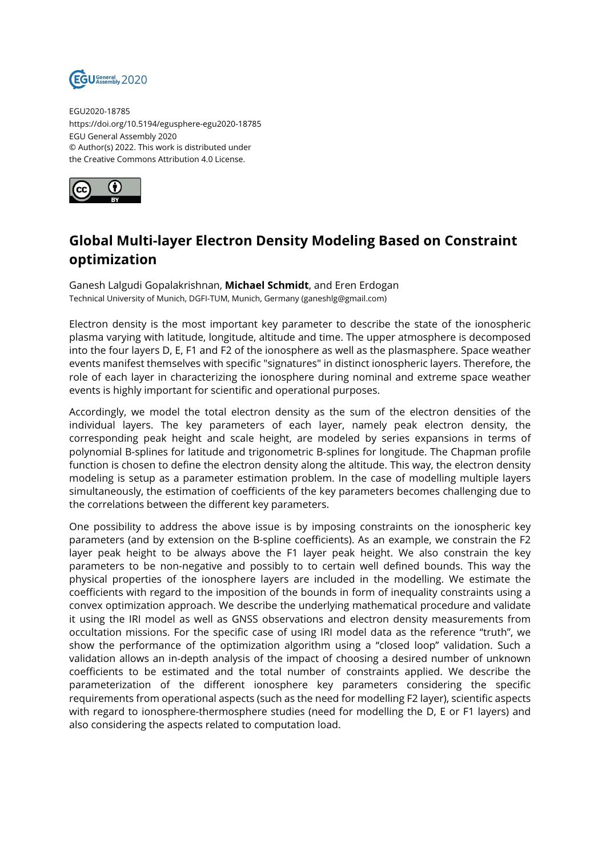

EGU2020-18785 https://doi.org/10.5194/egusphere-egu2020-18785 EGU General Assembly 2020 © Author(s) 2022. This work is distributed under the Creative Commons Attribution 4.0 License.



## **Global Multi-layer Electron Density Modeling Based on Constraint optimization**

Ganesh Lalgudi Gopalakrishnan, **Michael Schmidt**, and Eren Erdogan Technical University of Munich, DGFI-TUM, Munich, Germany (ganeshlg@gmail.com)

Electron density is the most important key parameter to describe the state of the ionospheric plasma varying with latitude, longitude, altitude and time. The upper atmosphere is decomposed into the four layers D, E, F1 and F2 of the ionosphere as well as the plasmasphere. Space weather events manifest themselves with specific "signatures" in distinct ionospheric layers. Therefore, the role of each layer in characterizing the ionosphere during nominal and extreme space weather events is highly important for scientific and operational purposes.

Accordingly, we model the total electron density as the sum of the electron densities of the individual layers. The key parameters of each layer, namely peak electron density, the corresponding peak height and scale height, are modeled by series expansions in terms of polynomial B-splines for latitude and trigonometric B-splines for longitude. The Chapman profile function is chosen to define the electron density along the altitude. This way, the electron density modeling is setup as a parameter estimation problem. In the case of modelling multiple layers simultaneously, the estimation of coefficients of the key parameters becomes challenging due to the correlations between the different key parameters.

One possibility to address the above issue is by imposing constraints on the ionospheric key parameters (and by extension on the B-spline coefficients). As an example, we constrain the F2 layer peak height to be always above the F1 layer peak height. We also constrain the key parameters to be non-negative and possibly to to certain well defined bounds. This way the physical properties of the ionosphere layers are included in the modelling. We estimate the coefficients with regard to the imposition of the bounds in form of inequality constraints using a convex optimization approach. We describe the underlying mathematical procedure and validate it using the IRI model as well as GNSS observations and electron density measurements from occultation missions. For the specific case of using IRI model data as the reference "truth", we show the performance of the optimization algorithm using a "closed loop" validation. Such a validation allows an in-depth analysis of the impact of choosing a desired number of unknown coefficients to be estimated and the total number of constraints applied. We describe the parameterization of the different ionosphere key parameters considering the specific requirements from operational aspects (such as the need for modelling F2 layer), scientific aspects with regard to ionosphere-thermosphere studies (need for modelling the D, E or F1 layers) and also considering the aspects related to computation load.